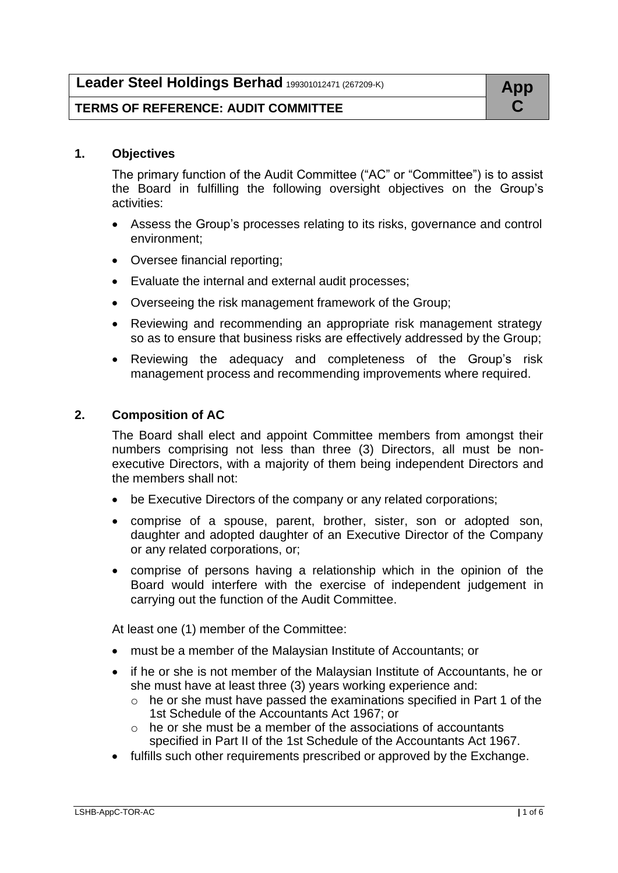# **TERMS OF REFERENCE: AUDIT COMMITTEE C**

## **1. Objectives**

The primary function of the Audit Committee ("AC" or "Committee") is to assist the Board in fulfilling the following oversight objectives on the Group's activities:

- Assess the Group's processes relating to its risks, governance and control environment;
- Oversee financial reporting;
- Evaluate the internal and external audit processes;
- Overseeing the risk management framework of the Group;
- Reviewing and recommending an appropriate risk management strategy so as to ensure that business risks are effectively addressed by the Group;
- Reviewing the adequacy and completeness of the Group's risk management process and recommending improvements where required.

# **2. Composition of AC**

The Board shall elect and appoint Committee members from amongst their numbers comprising not less than three (3) Directors, all must be nonexecutive Directors, with a majority of them being independent Directors and the members shall not:

- be Executive Directors of the company or any related corporations;
- comprise of a spouse, parent, brother, sister, son or adopted son, daughter and adopted daughter of an Executive Director of the Company or any related corporations, or;
- comprise of persons having a relationship which in the opinion of the Board would interfere with the exercise of independent judgement in carrying out the function of the Audit Committee.

At least one (1) member of the Committee:

- must be a member of the Malaysian Institute of Accountants; or
- if he or she is not member of the Malaysian Institute of Accountants, he or she must have at least three (3) years working experience and:
	- o he or she must have passed the examinations specified in Part 1 of the 1st Schedule of the Accountants Act 1967; or
	- $\circ$  he or she must be a member of the associations of accountants specified in Part II of the 1st Schedule of the Accountants Act 1967.
- fulfills such other requirements prescribed or approved by the Exchange.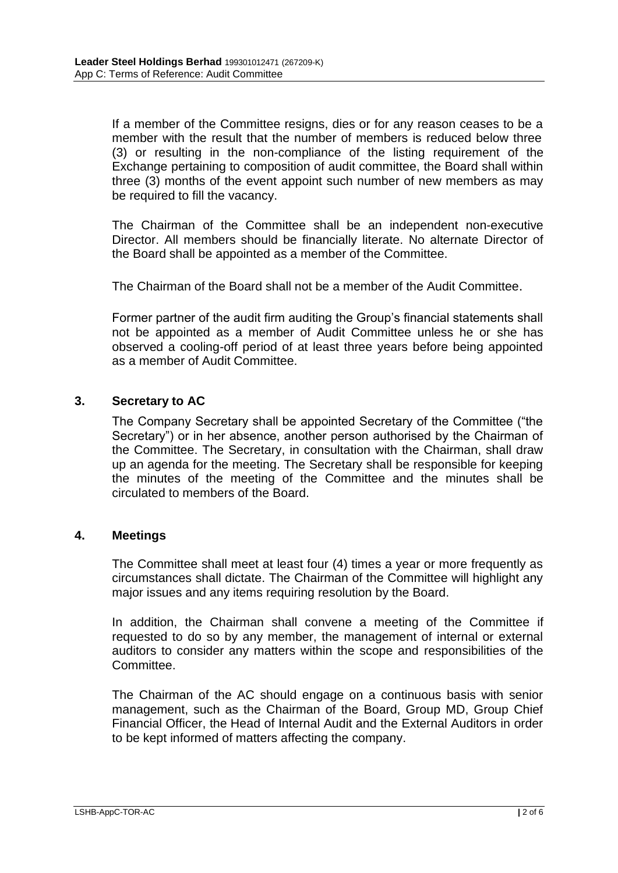If a member of the Committee resigns, dies or for any reason ceases to be a member with the result that the number of members is reduced below three (3) or resulting in the non-compliance of the listing requirement of the Exchange pertaining to composition of audit committee, the Board shall within three (3) months of the event appoint such number of new members as may be required to fill the vacancy.

The Chairman of the Committee shall be an independent non-executive Director. All members should be financially literate. No alternate Director of the Board shall be appointed as a member of the Committee.

The Chairman of the Board shall not be a member of the Audit Committee.

Former partner of the audit firm auditing the Group's financial statements shall not be appointed as a member of Audit Committee unless he or she has observed a cooling-off period of at least three years before being appointed as a member of Audit Committee.

## **3. Secretary to AC**

The Company Secretary shall be appointed Secretary of the Committee ("the Secretary") or in her absence, another person authorised by the Chairman of the Committee. The Secretary, in consultation with the Chairman, shall draw up an agenda for the meeting. The Secretary shall be responsible for keeping the minutes of the meeting of the Committee and the minutes shall be circulated to members of the Board.

## **4. Meetings**

The Committee shall meet at least four (4) times a year or more frequently as circumstances shall dictate. The Chairman of the Committee will highlight any major issues and any items requiring resolution by the Board.

In addition, the Chairman shall convene a meeting of the Committee if requested to do so by any member, the management of internal or external auditors to consider any matters within the scope and responsibilities of the Committee.

The Chairman of the AC should engage on a continuous basis with senior management, such as the Chairman of the Board, Group MD, Group Chief Financial Officer, the Head of Internal Audit and the External Auditors in order to be kept informed of matters affecting the company.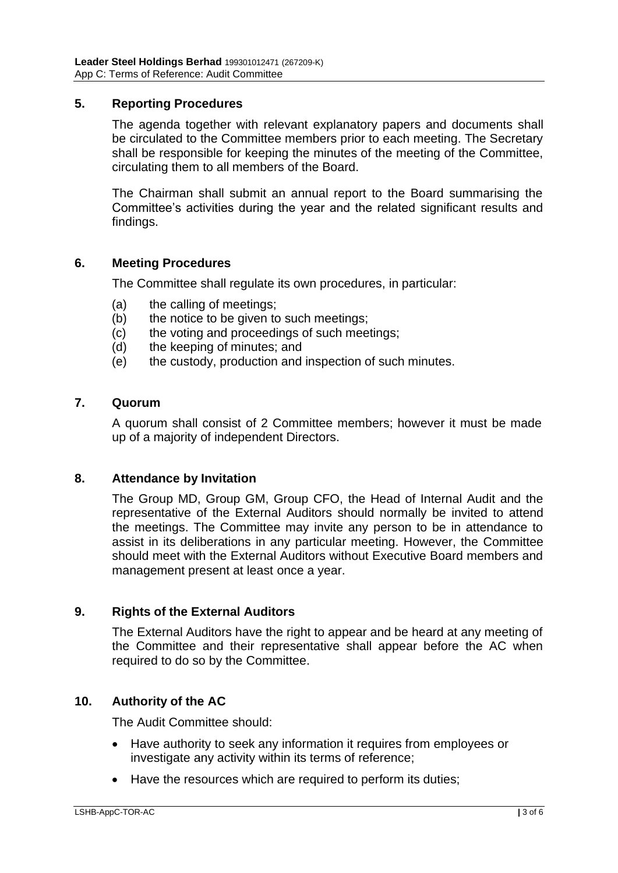## **5. Reporting Procedures**

The agenda together with relevant explanatory papers and documents shall be circulated to the Committee members prior to each meeting. The Secretary shall be responsible for keeping the minutes of the meeting of the Committee, circulating them to all members of the Board.

The Chairman shall submit an annual report to the Board summarising the Committee's activities during the year and the related significant results and findings.

## **6. Meeting Procedures**

The Committee shall regulate its own procedures, in particular:

- (a) the calling of meetings;
- (b) the notice to be given to such meetings;
- (c) the voting and proceedings of such meetings;
- (d) the keeping of minutes; and
- (e) the custody, production and inspection of such minutes.

#### **7. Quorum**

A quorum shall consist of 2 Committee members; however it must be made up of a majority of independent Directors.

#### **8. Attendance by Invitation**

The Group MD, Group GM, Group CFO, the Head of Internal Audit and the representative of the External Auditors should normally be invited to attend the meetings. The Committee may invite any person to be in attendance to assist in its deliberations in any particular meeting. However, the Committee should meet with the External Auditors without Executive Board members and management present at least once a year.

## **9. Rights of the External Auditors**

The External Auditors have the right to appear and be heard at any meeting of the Committee and their representative shall appear before the AC when required to do so by the Committee.

## **10. Authority of the AC**

The Audit Committee should:

- Have authority to seek any information it requires from employees or investigate any activity within its terms of reference;
- Have the resources which are required to perform its duties;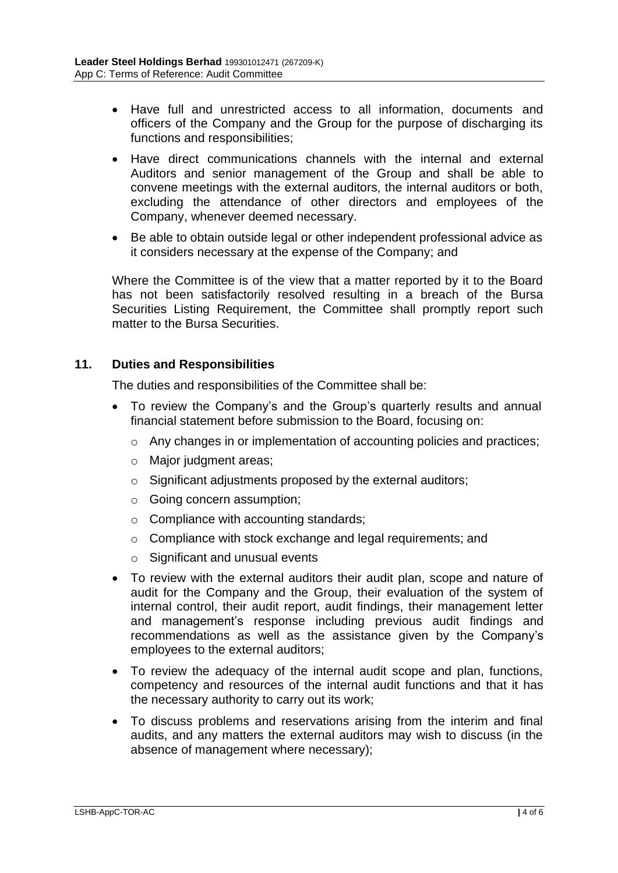- Have full and unrestricted access to all information, documents and officers of the Company and the Group for the purpose of discharging its functions and responsibilities;
- Have direct communications channels with the internal and external Auditors and senior management of the Group and shall be able to convene meetings with the external auditors, the internal auditors or both, excluding the attendance of other directors and employees of the Company, whenever deemed necessary.
- Be able to obtain outside legal or other independent professional advice as it considers necessary at the expense of the Company; and

Where the Committee is of the view that a matter reported by it to the Board has not been satisfactorily resolved resulting in a breach of the Bursa Securities Listing Requirement, the Committee shall promptly report such matter to the Bursa Securities.

# **11. Duties and Responsibilities**

The duties and responsibilities of the Committee shall be:

- To review the Company's and the Group's quarterly results and annual financial statement before submission to the Board, focusing on:
	- o Any changes in or implementation of accounting policies and practices;
	- o Major judgment areas;
	- o Significant adjustments proposed by the external auditors;
	- o Going concern assumption;
	- $\circ$  Compliance with accounting standards;
	- o Compliance with stock exchange and legal requirements; and
	- o Significant and unusual events
- To review with the external auditors their audit plan, scope and nature of audit for the Company and the Group, their evaluation of the system of internal control, their audit report, audit findings, their management letter and management's response including previous audit findings and recommendations as well as the assistance given by the Company's employees to the external auditors;
- To review the adequacy of the internal audit scope and plan, functions, competency and resources of the internal audit functions and that it has the necessary authority to carry out its work;
- To discuss problems and reservations arising from the interim and final audits, and any matters the external auditors may wish to discuss (in the absence of management where necessary);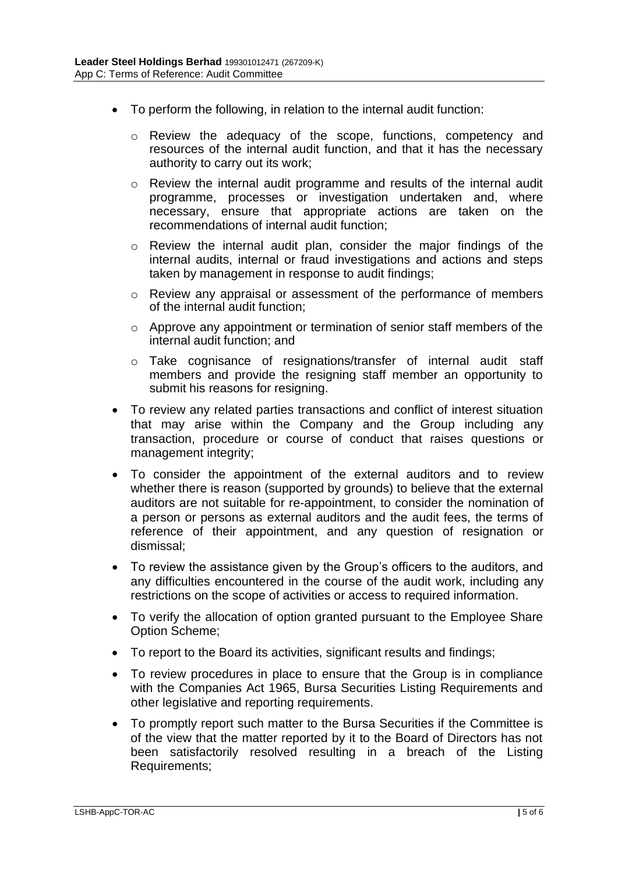- To perform the following, in relation to the internal audit function:
	- o Review the adequacy of the scope, functions, competency and resources of the internal audit function, and that it has the necessary authority to carry out its work;
	- o Review the internal audit programme and results of the internal audit programme, processes or investigation undertaken and, where necessary, ensure that appropriate actions are taken on the recommendations of internal audit function;
	- o Review the internal audit plan, consider the major findings of the internal audits, internal or fraud investigations and actions and steps taken by management in response to audit findings;
	- o Review any appraisal or assessment of the performance of members of the internal audit function;
	- o Approve any appointment or termination of senior staff members of the internal audit function; and
	- o Take cognisance of resignations/transfer of internal audit staff members and provide the resigning staff member an opportunity to submit his reasons for resigning.
- To review any related parties transactions and conflict of interest situation that may arise within the Company and the Group including any transaction, procedure or course of conduct that raises questions or management integrity;
- To consider the appointment of the external auditors and to review whether there is reason (supported by grounds) to believe that the external auditors are not suitable for re-appointment, to consider the nomination of a person or persons as external auditors and the audit fees, the terms of reference of their appointment, and any question of resignation or dismissal;
- To review the assistance given by the Group's officers to the auditors, and any difficulties encountered in the course of the audit work, including any restrictions on the scope of activities or access to required information.
- To verify the allocation of option granted pursuant to the Employee Share Option Scheme;
- To report to the Board its activities, significant results and findings;
- To review procedures in place to ensure that the Group is in compliance with the Companies Act 1965, Bursa Securities Listing Requirements and other legislative and reporting requirements.
- To promptly report such matter to the Bursa Securities if the Committee is of the view that the matter reported by it to the Board of Directors has not been satisfactorily resolved resulting in a breach of the Listing Requirements;